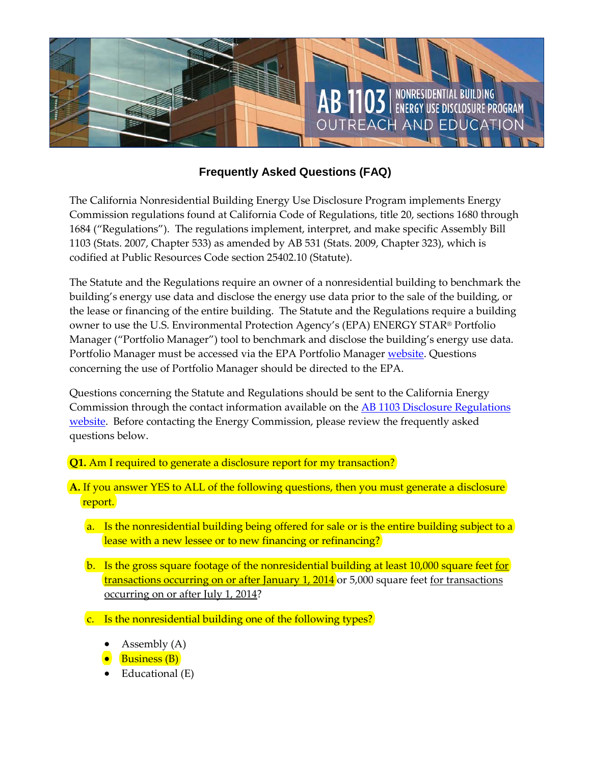

## **Frequently Asked Questions (FAQ)**

The California Nonresidential Building Energy Use Disclosure Program implements Energy Commission regulations found at California Code of Regulations, title 20, sections 1680 through 1684 ("Regulations"). The regulations implement, interpret, and make specific Assembly Bill 1103 (Stats. 2007, Chapter 533) as amended by AB 531 (Stats. 2009, Chapter 323), which is codified at Public Resources Code section 25402.10 (Statute).

The Statute and the Regulations require an owner of a nonresidential building to benchmark the building's energy use data and disclose the energy use data prior to the sale of the building, or the lease or financing of the entire building. The Statute and the Regulations require a building owner to use the U.S. Environmental Protection Agency's (EPA) ENERGY STAR® Portfolio Manager ("Portfolio Manager") tool to benchmark and disclose the building's energy use data. Portfolio Manager must be accessed via the EPA Portfolio Manager [website.](http://www.energystar.gov/index.cfm?c=evaluate_performance.bus_portfoliomanager) Questions concerning the use of Portfolio Manager should be directed to the EPA.

Questions concerning the Statute and Regulations should be sent to the California Energy Commission through the contact information available on the AB [1103 Disclosure Regulations](http://www.energy.ca.gov/ab1103/index.html) [website.](http://www.energy.ca.gov/ab1103/index.html) Before contacting the Energy Commission, please review the frequently asked questions below.

**Q1.** Am I required to generate a disclosure report for my transaction?

**A.** If you answer YES to ALL of the following questions, then you must generate a disclosure report.

- a. Is the nonresidential building being offered for sale or is the entire building subject to a lease with a new lessee or to new financing or refinancing?
- b. Is the gross square footage of the nonresidential building at least 10,000 square feet for transactions occurring on or after January 1, 2014 or 5,000 square feet for transactions occurring on or after July 1, 2014?
- c. Is the nonresidential building one of the following types?
	- Assembly (A)
	- Business (B)
	- Educational (E)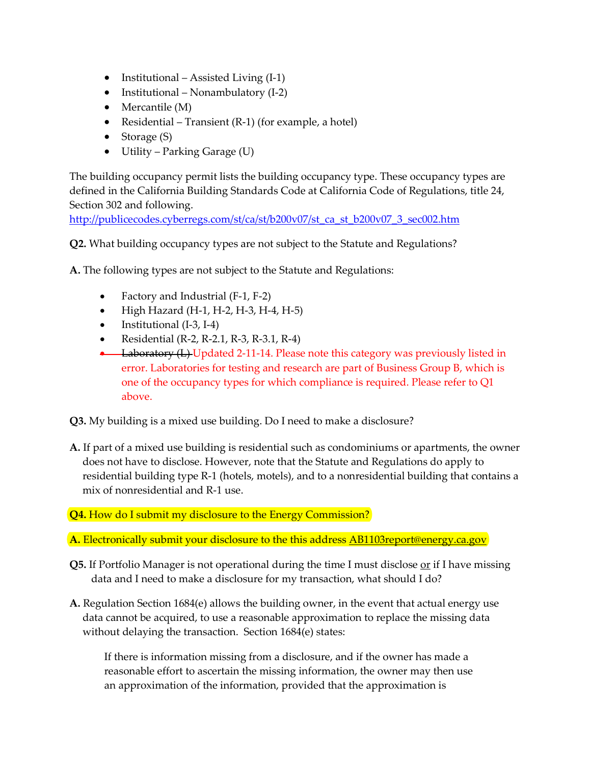- Institutional Assisted Living (I-1)
- Institutional Nonambulatory (I-2)
- Mercantile (M)
- Residential Transient (R-1) (for example, a hotel)
- Storage (S)
- Utility Parking Garage (U)

The building occupancy permit lists the building occupancy type. These occupancy types are defined in the California Building Standards Code at California Code of Regulations, title 24, Section 302 and following.

[http://publicecodes.cyberregs.com/st/ca/st/b200v07/st\\_ca\\_st\\_b200v07\\_3\\_sec002.htm](http://publicecodes.cyberregs.com/st/ca/st/b200v07/st_ca_st_b200v07_3_sec002.htm)

**Q2.** What building occupancy types are not subject to the Statute and Regulations?

**A.** The following types are not subject to the Statute and Regulations:

- Factory and Industrial (F-1, F-2)
- High Hazard (H-1, H-2, H-3, H-4, H-5)
- Institutional (I-3, I-4)
- Residential (R-2, R-2.1, R-3, R-3.1, R-4)
- Laboratory (L) Updated 2-11-14. Please note this category was previously listed in error. Laboratories for testing and research are part of Business Group B, which is one of the occupancy types for which compliance is required. Please refer to Q1 above.

**Q3.** My building is a mixed use building. Do I need to make a disclosure?

**A.** If part of a mixed use building is residential such as condominiums or apartments, the owner does not have to disclose. However, note that the Statute and Regulations do apply to residential building type R-1 (hotels, motels), and to a nonresidential building that contains a mix of nonresidential and R-1 use.

**Q4.** How do I submit my disclosure to the Energy Commission?

**A.** Electronically submit your disclosure to the this address [AB1103report@energy.ca.gov](mailto:AB1103report@energy.ca.gov)

- **Q5.** If Portfolio Manager is not operational during the time I must disclose <u>or</u> if I have missing data and I need to make a disclosure for my transaction, what should I do?
- **A.** Regulation Section 1684(e) allows the building owner, in the event that actual energy use data cannot be acquired, to use a reasonable approximation to replace the missing data without delaying the transaction. Section 1684(e) states:

If there is information missing from a disclosure, and if the owner has made a reasonable effort to ascertain the missing information, the owner may then use an approximation of the information, provided that the approximation is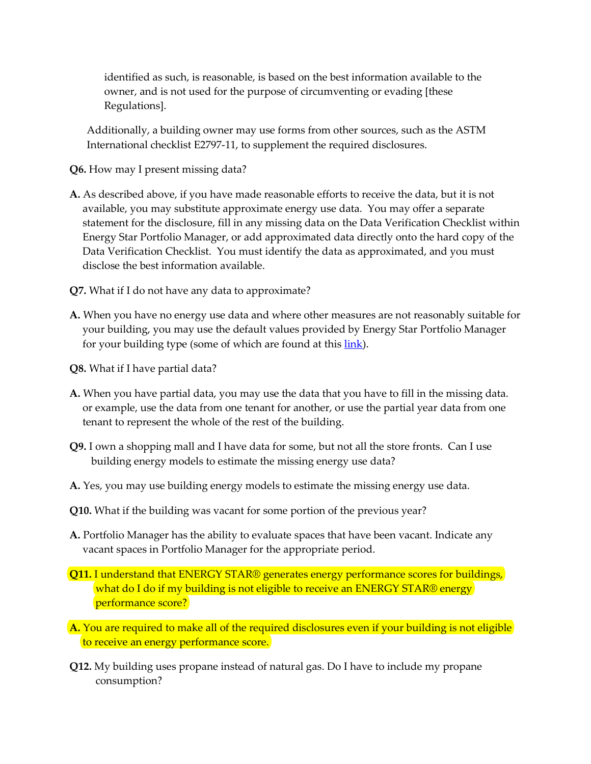identified as such, is reasonable, is based on the best information available to the owner, and is not used for the purpose of circumventing or evading [these Regulations].

Additionally, a building owner may use forms from other sources, such as the ASTM International checklist E2797-11, to supplement the required disclosures.

- **Q6.** How may I present missing data?
- **A.** As described above, if you have made reasonable efforts to receive the data, but it is not available, you may substitute approximate energy use data. You may offer a separate statement for the disclosure, fill in any missing data on the Data Verification Checklist within Energy Star Portfolio Manager, or add approximated data directly onto the hard copy of the Data Verification Checklist. You must identify the data as approximated, and you must disclose the best information available.
- **Q7.** What if I do not have any data to approximate?
- **A.** When you have no energy use data and where other measures are not reasonably suitable for your building, you may use the default values provided by Energy Star Portfolio Manager for your building type (some of which are found at this [link\)](http://www.energystar.gov/buildings/sites/default/uploads/tools/2003_CBECSPerformanceTargetsTable.pdf?1385-c890).
- **Q8.** What if I have partial data?
- **A.** When you have partial data, you may use the data that you have to fill in the missing data. or example, use the data from one tenant for another, or use the partial year data from one tenant to represent the whole of the rest of the building.
- **Q9.** I own a shopping mall and I have data for some, but not all the store fronts. Can I use building energy models to estimate the missing energy use data?
- **A.** Yes, you may use building energy models to estimate the missing energy use data.
- **Q10.** What if the building was vacant for some portion of the previous year?
- **A.** Portfolio Manager has the ability to evaluate spaces that have been vacant. Indicate any vacant spaces in Portfolio Manager for the appropriate period.
- **Q11.** I understand that ENERGY STAR® generates energy performance scores for buildings, what do I do if my building is not eligible to receive an ENERGY STAR® energy performance score?
- **A.** You are required to make all of the required disclosures even if your building is not eligible to receive an energy performance score.
- **Q12.** My building uses propane instead of natural gas. Do I have to include my propane consumption?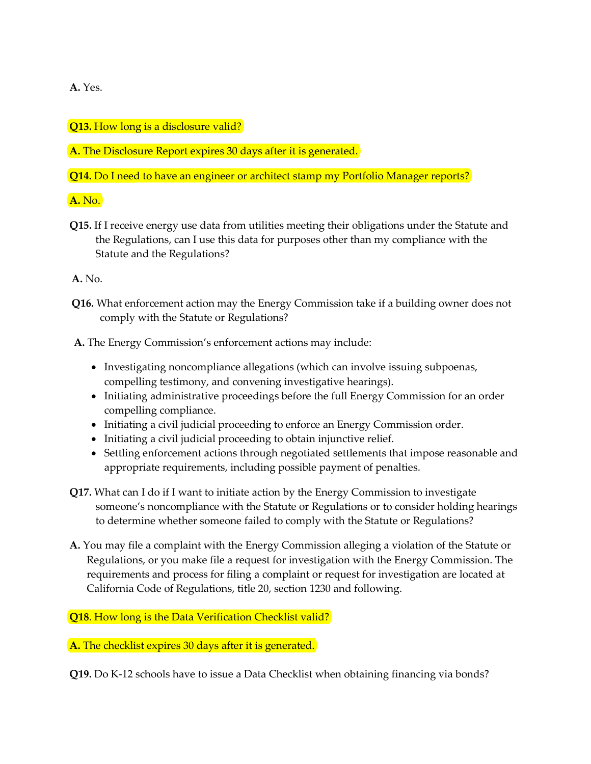**A.** Yes.

**Q13.** How long is a disclosure valid?

**A.** The Disclosure Report expires 30 days after it is generated.

**Q14.** Do I need to have an engineer or architect stamp my Portfolio Manager reports?

**A.** No.

**Q15.** If I receive energy use data from utilities meeting their obligations under the Statute and the Regulations, can I use this data for purposes other than my compliance with the Statute and the Regulations?

**A.** No.

**Q16.** What enforcement action may the Energy Commission take if a building owner does not comply with the Statute or Regulations?

**A.** The Energy Commission's enforcement actions may include:

- Investigating noncompliance allegations (which can involve issuing subpoenas, compelling testimony, and convening investigative hearings).
- Initiating administrative proceedings before the full Energy Commission for an order compelling compliance.
- Initiating a civil judicial proceeding to enforce an Energy Commission order.
- Initiating a civil judicial proceeding to obtain injunctive relief.
- Settling enforcement actions through negotiated settlements that impose reasonable and appropriate requirements, including possible payment of penalties.
- **Q17.** What can I do if I want to initiate action by the Energy Commission to investigate someone's noncompliance with the Statute or Regulations or to consider holding hearings to determine whether someone failed to comply with the Statute or Regulations?
- **A.** You may file a complaint with the Energy Commission alleging a violation of the Statute or Regulations, or you make file a request for investigation with the Energy Commission. The requirements and process for filing a complaint or request for investigation are located at California Code of Regulations, title 20, section 1230 and following.

**Q18.** How long is the Data Verification Checklist valid?

**A.** The checklist expires 30 days after it is generated.

**Q19.** Do K-12 schools have to issue a Data Checklist when obtaining financing via bonds?